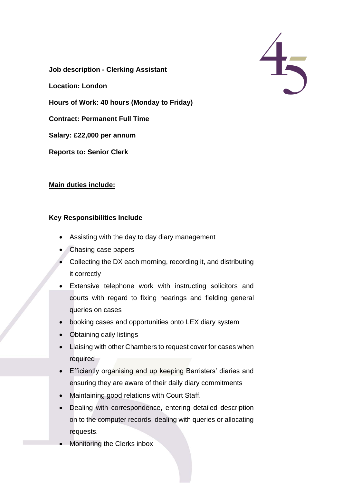$\frac{4}{5}$ 

**Job description - Clerking Assistant** 

**Location: London**

**Hours of Work: 40 hours (Monday to Friday)**

**Contract: Permanent Full Time**

**Salary: £22,000 per annum**

**Reports to: Senior Clerk**

## **Main duties include:**

## **Key Responsibilities Include**

- Assisting with the day to day diary management
- Chasing case papers
- Collecting the DX each morning, recording it, and distributing it correctly
- Extensive telephone work with instructing solicitors and courts with regard to fixing hearings and fielding general queries on cases
- booking cases and opportunities onto LEX diary system
- Obtaining daily listings
- Liaising with other Chambers to request cover for cases when required
- Efficiently organising and up keeping Barristers' diaries and ensuring they are aware of their daily diary commitments
- Maintaining good relations with Court Staff.
- Dealing with correspondence, entering detailed description on to the computer records, dealing with queries or allocating requests.
- Monitoring the Clerks inbox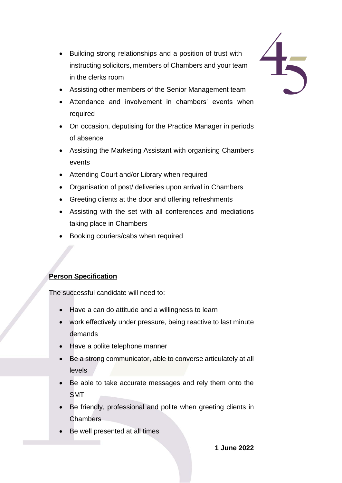- Building strong relationships and a position of trust with instructing solicitors, members of Chambers and your team in the clerks room
- Assisting other members of the Senior Management team
- Attendance and involvement in chambers' events when required
- On occasion, deputising for the Practice Manager in periods of absence
- Assisting the Marketing Assistant with organising Chambers events
- Attending Court and/or Library when required
- Organisation of post/ deliveries upon arrival in Chambers
- Greeting clients at the door and offering refreshments
- Assisting with the set with all conferences and mediations taking place in Chambers
- Booking couriers/cabs when required

## **Person Specification**

The successful candidate will need to:

- Have a can do attitude and a willingness to learn
- work effectively under pressure, being reactive to last minute demands
- Have a polite telephone manner
- Be a strong communicator, able to converse articulately at all levels
- Be able to take accurate messages and rely them onto the SMT
- Be friendly, professional and polite when greeting clients in **Chambers**
- Be well presented at all times